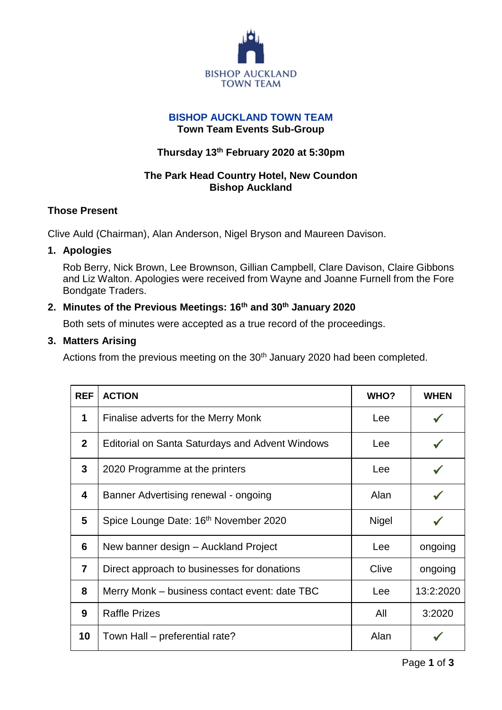

### **BISHOP AUCKLAND TOWN TEAM Town Team Events Sub-Group**

# **Thursday 13 th February 2020 at 5:30pm**

# **The Park Head Country Hotel, New Coundon Bishop Auckland**

# **Those Present**

Clive Auld (Chairman), Alan Anderson, Nigel Bryson and Maureen Davison.

## **1. Apologies**

Rob Berry, Nick Brown, Lee Brownson, Gillian Campbell, Clare Davison, Claire Gibbons and Liz Walton. Apologies were received from Wayne and Joanne Furnell from the Fore Bondgate Traders.

# **2. Minutes of the Previous Meetings: 16th and 30th January 2020**

Both sets of minutes were accepted as a true record of the proceedings.

# **3. Matters Arising**

Actions from the previous meeting on the 30<sup>th</sup> January 2020 had been completed.

| <b>REF</b>     | <b>ACTION</b>                                          | WHO?         | <b>WHEN</b> |
|----------------|--------------------------------------------------------|--------------|-------------|
| 1              | Finalise adverts for the Merry Monk                    | Lee          |             |
| $\overline{2}$ | <b>Editorial on Santa Saturdays and Advent Windows</b> | Lee          |             |
| $\mathbf{3}$   | 2020 Programme at the printers                         | <b>Lee</b>   |             |
| 4              | Banner Advertising renewal - ongoing                   | Alan         |             |
| 5              | Spice Lounge Date: 16 <sup>th</sup> November 2020      | <b>Nigel</b> |             |
| 6              | New banner design - Auckland Project                   | Lee          | ongoing     |
| $\overline{7}$ | Direct approach to businesses for donations            | Clive        | ongoing     |
| 8              | Merry Monk – business contact event: date TBC          | Lee          | 13:2:2020   |
| 9              | <b>Raffle Prizes</b>                                   | All          | 3:2020      |
| 10             | Town Hall – preferential rate?                         | Alan         |             |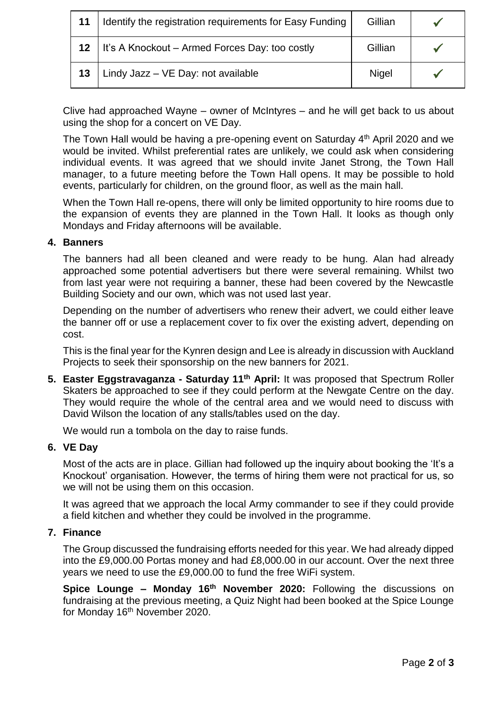| 11 | Identify the registration requirements for Easy Funding | Gillian      |  |
|----|---------------------------------------------------------|--------------|--|
|    | It's A Knockout – Armed Forces Day: too costly          | Gillian      |  |
| 13 | Lindy Jazz - VE Day: not available                      | <b>Nigel</b> |  |

Clive had approached Wayne – owner of McIntyres – and he will get back to us about using the shop for a concert on VE Day.

The Town Hall would be having a pre-opening event on Saturday 4th April 2020 and we would be invited. Whilst preferential rates are unlikely, we could ask when considering individual events. It was agreed that we should invite Janet Strong, the Town Hall manager, to a future meeting before the Town Hall opens. It may be possible to hold events, particularly for children, on the ground floor, as well as the main hall.

When the Town Hall re-opens, there will only be limited opportunity to hire rooms due to the expansion of events they are planned in the Town Hall. It looks as though only Mondays and Friday afternoons will be available.

### **4. Banners**

The banners had all been cleaned and were ready to be hung. Alan had already approached some potential advertisers but there were several remaining. Whilst two from last year were not requiring a banner, these had been covered by the Newcastle Building Society and our own, which was not used last year.

Depending on the number of advertisers who renew their advert, we could either leave the banner off or use a replacement cover to fix over the existing advert, depending on cost.

This is the final year for the Kynren design and Lee is already in discussion with Auckland Projects to seek their sponsorship on the new banners for 2021.

**5. Easter Eggstravaganza - Saturday 11th April:** It was proposed that Spectrum Roller Skaters be approached to see if they could perform at the Newgate Centre on the day. They would require the whole of the central area and we would need to discuss with David Wilson the location of any stalls/tables used on the day.

We would run a tombola on the day to raise funds.

#### **6. VE Day**

Most of the acts are in place. Gillian had followed up the inquiry about booking the 'It's a Knockout' organisation. However, the terms of hiring them were not practical for us, so we will not be using them on this occasion.

It was agreed that we approach the local Army commander to see if they could provide a field kitchen and whether they could be involved in the programme.

#### **7. Finance**

The Group discussed the fundraising efforts needed for this year. We had already dipped into the £9,000.00 Portas money and had £8,000.00 in our account. Over the next three years we need to use the £9,000.00 to fund the free WiFi system.

**Spice Lounge – Monday 16th November 2020:** Following the discussions on fundraising at the previous meeting, a Quiz Night had been booked at the Spice Lounge for Monday 16<sup>th</sup> November 2020.